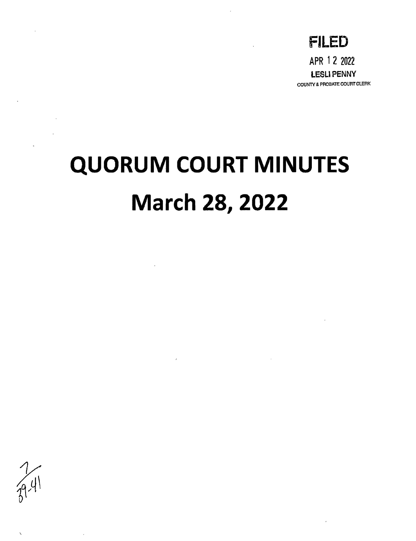

## **QUORUM COURT MINUTES March 28, 2022**

 $\mathcal{L}_{\text{max}}$  and  $\mathcal{L}_{\text{max}}$ 

 $\sim 100$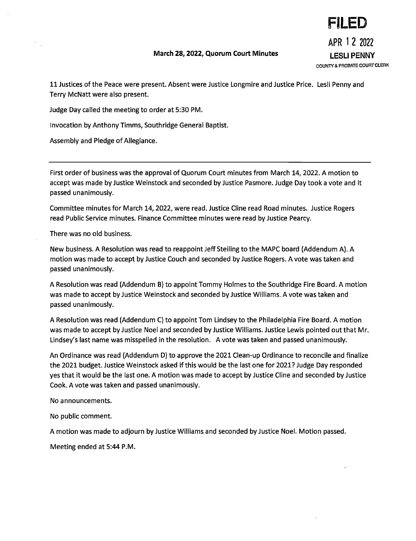## March 28, 2022, Quorum Court Minutes LESLI PENNY

**FILED**  APR 1 2 2022 COUNTY & PROBATE COURTCLERK

11 Justices of the Peace were present. Absent were Justice Longmire and Justice Price. Lesli Penny and Terry McNatt were also present.

Judge Day called the meeting to order at 5:30 PM.

Invocation by Anthony Timms, South ridge General Baptist.

Assembly and Pledge of Allegiance.

First order of business was the approval of Quorum Court minutes from March 14, 2022. A motion to accept was made by Justice Weinstock and seconded by Justice Pasmore. Judge Day took a vote and it passed unanimously.

Committee minutes for March 14,2022, were read. Justice Cline read Road minutes. Justice Rogers read Public Service minutes. Finance Committee minutes were read by Justice Pearcy.

There was no old business.

New business. A Resolution was read to reappoint Jeff Steiling to the MAPC board (Addendum A). A motion was made to accept by Justice Couch and seconded by Justice Rogers. A vote was taken and passed unanimously.

A Resolution was read (Addendum B) to appoint Tommy Holmes to the Southridge Fire Board. A motion was made to accept by Justice Weinstock and seconded by Justice Williams. A vote was taken and passed unanimously.

A Resolution was read (Addendum C) to appoint Tom Lindsey to the Philadelphia Fire Board. A motion was made to accept by Justice Noel and seconded by Justice Williams. Justice Lewis pointed out that Mr. Lindsey's last name was misspelled in the resolution. A vote was taken and passed unanimously.

An Ordinance was read (Addendum D) to approve the 2021 Clean-up Ordinance to reconcile and finalize the 2021 budget. Justice Weinstock asked if this would be the last one for 2021? Judge Day responded yes that it would be the last one. A motion was made to accept by Justice Cline and seconded by Justice Cook. A vote was taken and passed unanimously.

No announcements.

No public comment.

A motion was made to adjourn by Justice Williams and seconded by Justice Noel. Motion passed.

Meeting ended at 5:44 P.M.